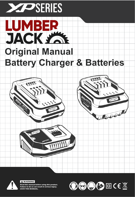# **XIPSERIES** LUMBER JACK TA **Original Manual Battery Charger & Batteries**





#### **AWARNING**

**Read this manual before using this product. Failure to do so can result in serious injury. SAVE THIS MANUAL.**

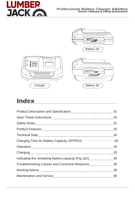# **LUMBER<br>JACK**

### *Professional Battery Charger &Battery* **Owner's Manual & Safety Instructions**



## **Index**

| Charging Time for Battery Capacity, APPROX. <b>Charging Time for Battery Capacity</b> , APPROX. |  |
|-------------------------------------------------------------------------------------------------|--|
|                                                                                                 |  |
|                                                                                                 |  |
|                                                                                                 |  |
|                                                                                                 |  |
|                                                                                                 |  |
|                                                                                                 |  |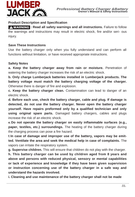

#### **Product Description and Specification**

**A WARNING**: Read all safety warnings and all instructions. Failure to follow the warnings and instructions may result in electric shock, fire and/or seri- ous injury.

#### **Save These Instructions**

Use the battery charger only when you fully understand and can perform all functions without limitation, or have received appropriate instructions.

#### **Safety Notes**

**a. Keep the battery charger away from rain or moisture.** Penetration of watering the battery charger increases the risk of an electric shock.

**b. Only charge Lumberjack batteries installed in Lumberjack products. The battery voltage must match the battery charging voltage of the charger.** Otherwise there is danger of fire and explosion.

**c. Keep the battery charger clean.** Contamination can lead to danger of an electric shock.

**d. Before each use, check the battery charger, cable and plug. If damage is detected, do not use the battery charger. Never open the battery charger yourself. Have repairs preformed only by a qualified technician and only using original spare parts.** Damaged battery chargers, cables and plugs increase the risk of an electric shock.

**e. Do not operate the battery charger on easily inflammable surfaces (e.g., paper, textiles, etc.) surroundings.** The heating of the battery charger during the charging process can pose a fire hazard.

**f. In case of damage and improper use of the battery, vapors may be emitted. Ventilate the area and seek the medical help in case of complaints.** The vapors can irritate the respiratory system.

**g. Supervise children.** This will ensure that children do not play with the charger. **h. This battery charger can be used by children aged from 8 years and above and persons with reduced physical, sensory or mental capabilities or lack of experience and knowledge if they have been given supervision or instruction concerning use of the battery charger in a safe way and understand the hazards involved.**

**i. Cleaning and use maintenance of the battery charger shall not be made**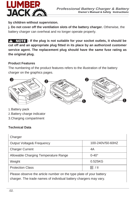

**by children without supervision.**

**j. Do not cover off the ventilation slots of the battery charger.** Otherwise, the battery charger can overheat and no longer operate properly.

**IN NOTE:** If the plug is not suitable for your socket outlets, it should be **cut off and an appropriate plug fitted in its place by an authorized customer service agent. The replacement plug should have the same fuse rating as the original plug.**

#### **Product Features**

The numbering of the product features refers to the illustration of the battery charger on the graphics pages.



1.Battery pack

2.Battery charge indicator

3.Charging compartment

#### **Technical Data**

| Charger                                                                                                                                  |                  |  |
|------------------------------------------------------------------------------------------------------------------------------------------|------------------|--|
| <b>Output Voltage&amp; Frequency</b>                                                                                                     | 100-240V/50-60HZ |  |
| <b>Charger Current</b>                                                                                                                   | 4A               |  |
| Allowable Charging Temperature Range                                                                                                     | $0-40^\circ$     |  |
| Weight                                                                                                                                   | 0.525KG          |  |
| <b>Protection Class</b>                                                                                                                  | 0 / II           |  |
| Please observe the article number on the type plate of your battery<br>charger. The trade names of individual battery chargers may vary. |                  |  |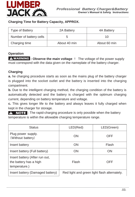

#### **Charging Time for Battery Capacity, APPROX.**

| Type of Battery         | 2A Battery   | 4A Battery   |
|-------------------------|--------------|--------------|
| Number of battery cells |              | 10           |
| Charging time           | About 40 min | About 60 min |

#### **Operation**

**A WARNING**: Observe the main voltage ! The voltage of the power supply must correspond with the data given on the nameplate of the battery charger.

#### **Charging**

**a.** he charging procedure starts as soon as the mains plug of the battery charger is plugged into the socket outlet and the battery is inserted into the charging compartment.

**b.** Due to the intelligent charging method, the charging condition of the battery is automatically detected and the battery is charged with the optimum charging current, depending on battery temperature and voltage.

**c.** This gives longer life to the battery and always leaves it fully charged when kept in the charger for storage.

**A NOTE**: The rapid-charging procedure is only possible when the battery temperature is within the allowable charging temperature range.

| <b>Status</b>                                                             | LED(Red)                                     | LED(Green) |  |
|---------------------------------------------------------------------------|----------------------------------------------|------------|--|
| Plug power supply.<br>(Without battery)                                   | ON                                           | OFF        |  |
| Insert battery                                                            | ON                                           | Flash      |  |
| Insert battery (Full battery)                                             | ON                                           | ON         |  |
| Insert battery (After run out,<br>the battery has a high<br>temperature.) | Flash                                        | OFF        |  |
| Insert battery (Damaged battery)                                          | Red light and green light flash alternately. |            |  |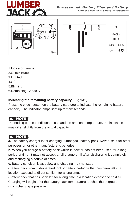



|       |  | 5 | 6             |
|-------|--|---|---------------|
| 0     |  |   | 66% -         |
|       |  |   | 100%          |
|       |  |   | 33% - 66%     |
| Fig.1 |  |   | $0\% - 359.2$ |

- 1.Indicator Lamps
- 2.Check Button
- 3.Lighted
- 4.Off
- 5.Blinking
- 6.Remaining Capacity

#### **Indicating the remaining battery capacity (Fig.1&2)**

Press the check button on the battery cartridge to indicate the remaining battery capacity. The indicator lamps light up for few seconds.

#### A NOTE B

Depending on the conditions of use and the ambient temperature, the indication may differ slightly from the actual capacity.

#### $\mathbf{A}$ **NOTE E**

**a.** The battery charger is for charging Lumberjack battery pack. Never use it for other purposes or for other manufacturer's batteries.

**b.** When you charge a battery pack which is new or has not been used for a long period of time, it may not accept a full charge until after discharging it completely and recharging a couple of times.

**c.** Battery condition is as below and charging may not start.

-Battery pack from just-operated tool or battery cartridge that has been left in a location exposed to direct sunlight for a long time.

-Battery pack that has been left for a long time in a location exposed to cold air. Charging will begin after the battery pack temperature reaches the degree at which charging is possible.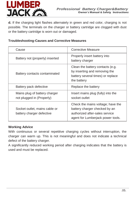

**d.** If the charging light flashes alternately in green and red color, charging is not possible. The terminals on the charger or battery cartridge are clogged with dust or the battery cartridge is worn out or damaged.

#### **Troubleshooting-Causes and Corrective Measures**

| Cause                                                      | Corrective Measure                                                                                                                        |
|------------------------------------------------------------|-------------------------------------------------------------------------------------------------------------------------------------------|
| Battery not (properly) inserted                            | Properly insert battery into<br>battery charger                                                                                           |
| Battery contacts contaminated                              | Clean the battery contacts (e.g.<br>by inserting and removing the<br>battery several times) or replace<br>the battery                     |
| Battery pack defective                                     | Replace the battery                                                                                                                       |
| Mains plug of battery charger<br>not plugged in (Properly) | Insert mains plug (fully) into the<br>socket outlet                                                                                       |
| Socket outlet, mains cable or<br>battery charger defective | Check the mains voltage; have the<br>battery charger checked by an<br>authorized after-sales service<br>agent for Lumberjack power tools. |

#### **Working Advice**

With continuous or several repetitive charging cycles without interruption, the charger can warm up. This is not meaningful and does not indicate a technical defect of the battery charger.

A significantly reduced working period after charging indicates that the battery is used and must be replaced.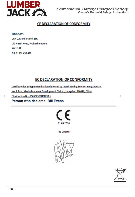

#### **CE DECLARATION OF CONFORMITY**

**TOOLSAVE** 

Unit C, Manders Ind. Est., Old Heath Road, Wolverhampton, **WV1 2RP.** Tel: 01902 450 470

#### **EC DECLARATION OF CONFORMITY**

Certificate for EC-type examination delivered by Interk Testing Services Hangzhou 16

No. 1 Ave., Xiasha Economic Development District, Hangzhou 310018, China

(Verification No.: 150500566HZH-V1)

D.

Person who declares: Bill Evans



**The Director** 





r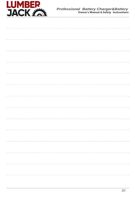

| I                        |  |
|--------------------------|--|
| $\overline{\phantom{a}}$ |  |
|                          |  |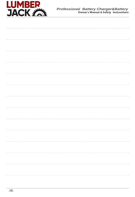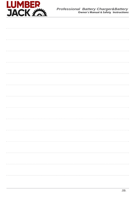